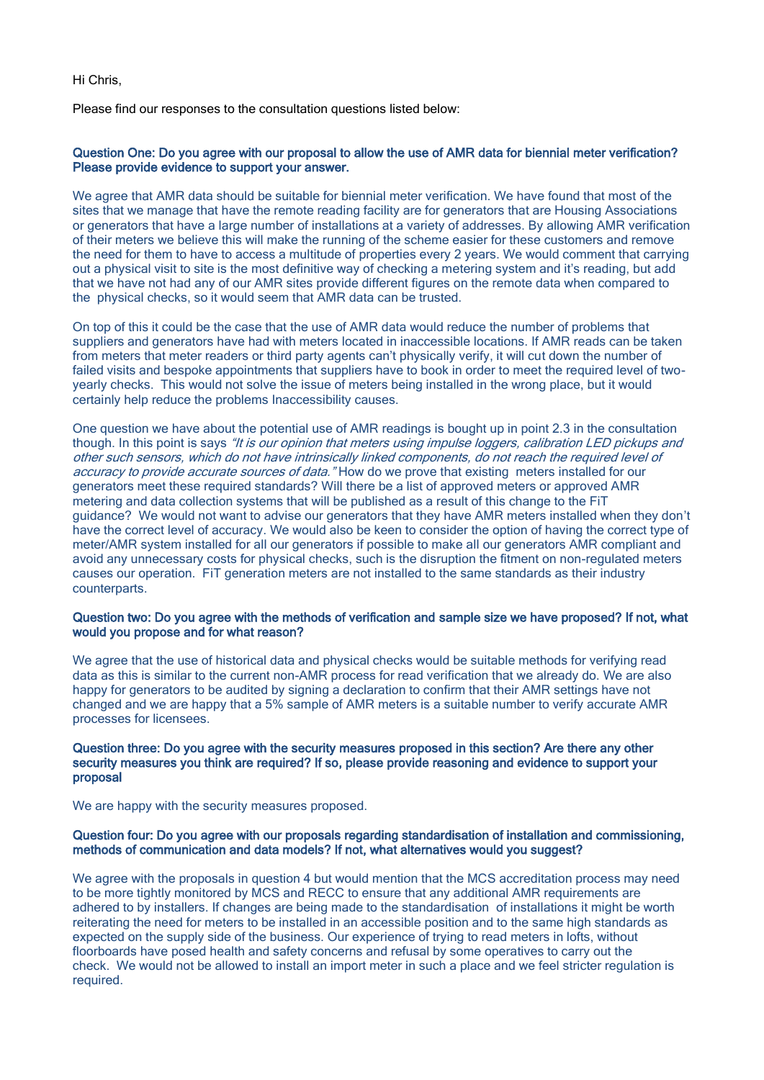Hi Chris,

Please find our responses to the consultation questions listed below:

## Question One: Do you agree with our proposal to allow the use of AMR data for biennial meter verification? Please provide evidence to support your answer.

We agree that AMR data should be suitable for biennial meter verification. We have found that most of the sites that we manage that have the remote reading facility are for generators that are Housing Associations or generators that have a large number of installations at a variety of addresses. By allowing AMR verification of their meters we believe this will make the running of the scheme easier for these customers and remove the need for them to have to access a multitude of properties every 2 years. We would comment that carrying out a physical visit to site is the most definitive way of checking a metering system and it's reading, but add that we have not had any of our AMR sites provide different figures on the remote data when compared to the physical checks, so it would seem that AMR data can be trusted.

On top of this it could be the case that the use of AMR data would reduce the number of problems that suppliers and generators have had with meters located in inaccessible locations. If AMR reads can be taken from meters that meter readers or third party agents can't physically verify, it will cut down the number of failed visits and bespoke appointments that suppliers have to book in order to meet the required level of twoyearly checks. This would not solve the issue of meters being installed in the wrong place, but it would certainly help reduce the problems Inaccessibility causes.

One question we have about the potential use of AMR readings is bought up in point 2.3 in the consultation though. In this point is says "It is our opinion that meters using impulse loggers, calibration LED pickups and other such sensors, which do not have intrinsically linked components, do not reach the required level of accuracy to provide accurate sources of data." How do we prove that existing meters installed for our generators meet these required standards? Will there be a list of approved meters or approved AMR metering and data collection systems that will be published as a result of this change to the FiT guidance? We would not want to advise our generators that they have AMR meters installed when they don't have the correct level of accuracy. We would also be keen to consider the option of having the correct type of meter/AMR system installed for all our generators if possible to make all our generators AMR compliant and avoid any unnecessary costs for physical checks, such is the disruption the fitment on non-regulated meters causes our operation. FiT generation meters are not installed to the same standards as their industry counterparts.

### Question two: Do you agree with the methods of verification and sample size we have proposed? If not, what would you propose and for what reason?

We agree that the use of historical data and physical checks would be suitable methods for verifying read data as this is similar to the current non-AMR process for read verification that we already do. We are also happy for generators to be audited by signing a declaration to confirm that their AMR settings have not changed and we are happy that a 5% sample of AMR meters is a suitable number to verify accurate AMR processes for licensees.

## Question three: Do you agree with the security measures proposed in this section? Are there any other security measures you think are required? If so, please provide reasoning and evidence to support your proposal

We are happy with the security measures proposed.

#### Question four: Do you agree with our proposals regarding standardisation of installation and commissioning, methods of communication and data models? If not, what alternatives would you suggest?

We agree with the proposals in question 4 but would mention that the MCS accreditation process may need to be more tightly monitored by MCS and RECC to ensure that any additional AMR requirements are adhered to by installers. If changes are being made to the standardisation of installations it might be worth reiterating the need for meters to be installed in an accessible position and to the same high standards as expected on the supply side of the business. Our experience of trying to read meters in lofts, without floorboards have posed health and safety concerns and refusal by some operatives to carry out the check. We would not be allowed to install an import meter in such a place and we feel stricter regulation is required.